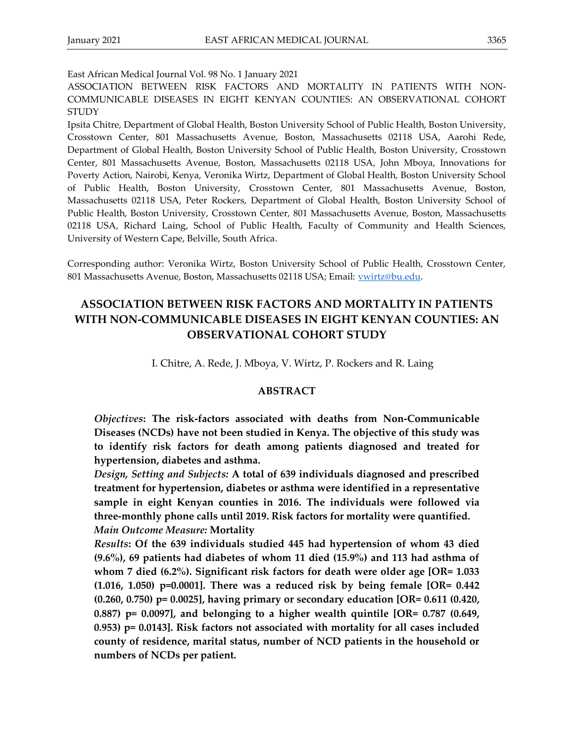East African Medical Journal Vol. 98 No. 1 January 2021

ASSOCIATION BETWEEN RISK FACTORS AND MORTALITY IN PATIENTS WITH NON-COMMUNICABLE DISEASES IN EIGHT KENYAN COUNTIES: AN OBSERVATIONAL COHORT **STUDY** 

Ipsita Chitre, Department of Global Health, Boston University School of Public Health, Boston University, Crosstown Center, 801 Massachusetts Avenue, Boston, Massachusetts 02118 USA, Aarohi Rede, Department of Global Health, Boston University School of Public Health, Boston University, Crosstown Center, 801 Massachusetts Avenue, Boston, Massachusetts 02118 USA, John Mboya, Innovations for Poverty Action, Nairobi, Kenya, Veronika Wirtz, Department of Global Health, Boston University School of Public Health, Boston University, Crosstown Center, 801 Massachusetts Avenue, Boston, Massachusetts 02118 USA, Peter Rockers, Department of Global Health, Boston University School of Public Health, Boston University, Crosstown Center, 801 Massachusetts Avenue, Boston, Massachusetts 02118 USA, Richard Laing, School of Public Health, Faculty of Community and Health Sciences, University of Western Cape, Belville, South Africa.

Corresponding author: Veronika Wirtz, Boston University School of Public Health, Crosstown Center, 801 Massachusetts Avenue, Boston, Massachusetts 02118 USA; Email: [vwirtz@bu.edu.](mailto:vwirtz@bu.edu)

# **ASSOCIATION BETWEEN RISK FACTORS AND MORTALITY IN PATIENTS WITH NON-COMMUNICABLE DISEASES IN EIGHT KENYAN COUNTIES: AN OBSERVATIONAL COHORT STUDY**

I. Chitre, A. Rede, J. Mboya, V. Wirtz, P. Rockers and R. Laing

#### **ABSTRACT**

*Objectives***: The risk-factors associated with deaths from Non-Communicable Diseases (NCDs) have not been studied in Kenya. The objective of this study was to identify risk factors for death among patients diagnosed and treated for hypertension, diabetes and asthma.**

*Design, Setting and Subjects:* **A total of 639 individuals diagnosed and prescribed treatment for hypertension, diabetes or asthma were identified in a representative sample in eight Kenyan counties in 2016. The individuals were followed via three-monthly phone calls until 2019. Risk factors for mortality were quantified.** *Main Outcome Measure:* **Mortality**

*Results***: Of the 639 individuals studied 445 had hypertension of whom 43 died (9.6%), 69 patients had diabetes of whom 11 died (15.9%) and 113 had asthma of whom 7 died (6.2%). Significant risk factors for death were older age [OR= 1.033 (1.016, 1.050) p=0.0001]. There was a reduced risk by being female [OR= 0.442 (0.260, 0.750) p= 0.0025], having primary or secondary education [OR= 0.611 (0.420, 0.887) p= 0.0097], and belonging to a higher wealth quintile [OR= 0.787 (0.649, 0.953) p= 0.0143]. Risk factors not associated with mortality for all cases included county of residence, marital status, number of NCD patients in the household or numbers of NCDs per patient.**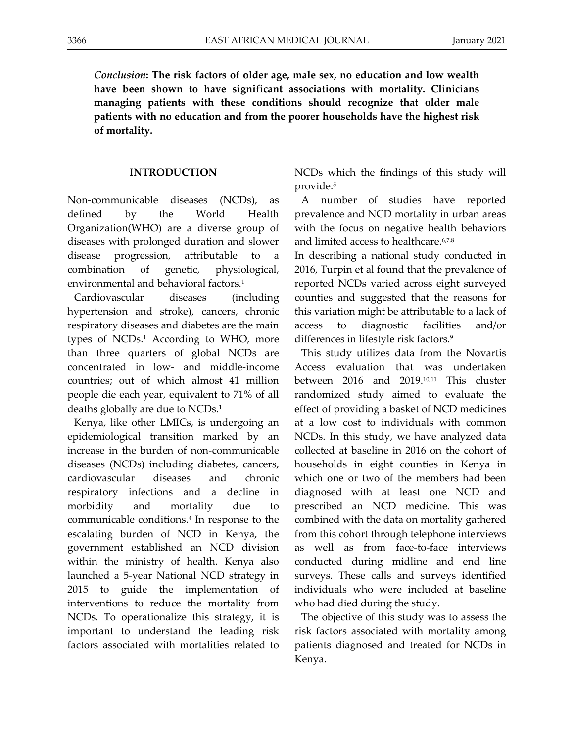*Conclusion***: The risk factors of older age, male sex, no education and low wealth have been shown to have significant associations with mortality. Clinicians managing patients with these conditions should recognize that older male patients with no education and from the poorer households have the highest risk of mortality.** 

## **INTRODUCTION**

Non-communicable diseases (NCDs), as defined by the World Health Organization(WHO) are a diverse group of diseases with prolonged duration and slower disease progression, attributable to a combination of genetic, physiological, environmental and behavioral factors.<sup>1</sup>

Cardiovascular diseases (including hypertension and stroke), cancers, chronic respiratory diseases and diabetes are the main types of NCDs.<sup>1</sup> According to WHO, more than three quarters of global NCDs are concentrated in low- and middle-income countries; out of which almost 41 million people die each year, equivalent to 71% of all deaths globally are due to NCDs.<sup>1</sup>

Kenya, like other LMICs, is undergoing an epidemiological transition marked by an increase in the burden of non-communicable diseases (NCDs) including diabetes, cancers, cardiovascular diseases and chronic respiratory infections and a decline in morbidity and mortality due to communicable conditions. 4 In response to the escalating burden of NCD in Kenya, the government established an NCD division within the ministry of health. Kenya also launched a 5-year National NCD strategy in 2015 to guide the implementation of interventions to reduce the mortality from NCDs. To operationalize this strategy, it is important to understand the leading risk factors associated with mortalities related to

NCDs which the findings of this study will provide. 5

A number of studies have reported prevalence and NCD mortality in urban areas with the focus on negative health behaviors and limited access to healthcare.6,7,8

In describing a national study conducted in 2016, Turpin et al found that the prevalence of reported NCDs varied across eight surveyed counties and suggested that the reasons for this variation might be attributable to a lack of access to diagnostic facilities and/or differences in lifestyle risk factors.<sup>9</sup>

This study utilizes data from the Novartis Access evaluation that was undertaken between 2016 and 2019.10,11 This cluster randomized study aimed to evaluate the effect of providing a basket of NCD medicines at a low cost to individuals with common NCDs. In this study, we have analyzed data collected at baseline in 2016 on the cohort of households in eight counties in Kenya in which one or two of the members had been diagnosed with at least one NCD and prescribed an NCD medicine. This was combined with the data on mortality gathered from this cohort through telephone interviews as well as from face-to-face interviews conducted during midline and end line surveys. These calls and surveys identified individuals who were included at baseline who had died during the study.

The objective of this study was to assess the risk factors associated with mortality among patients diagnosed and treated for NCDs in Kenya.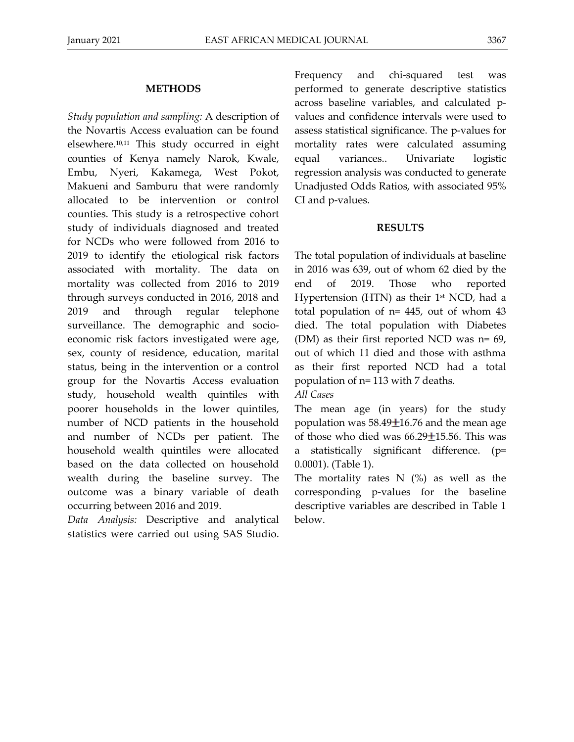#### **METHODS**

*Study population and sampling:* A description of the Novartis Access evaluation can be found elsewhere.10,11 This study occurred in eight counties of Kenya namely Narok, Kwale, Embu, Nyeri, Kakamega, West Pokot, Makueni and Samburu that were randomly allocated to be intervention or control counties. This study is a retrospective cohort study of individuals diagnosed and treated for NCDs who were followed from 2016 to 2019 to identify the etiological risk factors associated with mortality. The data on mortality was collected from 2016 to 2019 through surveys conducted in 2016, 2018 and 2019 and through regular telephone surveillance. The demographic and socioeconomic risk factors investigated were age, sex, county of residence, education, marital status, being in the intervention or a control group for the Novartis Access evaluation study, household wealth quintiles with poorer households in the lower quintiles, number of NCD patients in the household and number of NCDs per patient. The household wealth quintiles were allocated based on the data collected on household wealth during the baseline survey. The outcome was a binary variable of death occurring between 2016 and 2019.

*Data Analysis:* Descriptive and analytical statistics were carried out using SAS Studio.

Frequency and chi-squared test was performed to generate descriptive statistics across baseline variables, and calculated pvalues and confidence intervals were used to assess statistical significance. The p-values for mortality rates were calculated assuming equal variances.. Univariate logistic regression analysis was conducted to generate Unadjusted Odds Ratios, with associated 95% CI and p-values.

#### **RESULTS**

The total population of individuals at baseline in 2016 was 639, out of whom 62 died by the end of 2019. Those who reported Hypertension (HTN) as their  $1<sup>st</sup> NCD$ , had a total population of n= 445, out of whom 43 died. The total population with Diabetes (DM) as their first reported NCD was n= 69, out of which 11 died and those with asthma as their first reported NCD had a total population of n= 113 with 7 deaths.

*All Cases*

The mean age (in years) for the study population was  $58.49 \pm 16.76$  and the mean age of those who died was  $66.29 \pm 15.56$ . This was a statistically significant difference. (p= 0.0001). (Table 1).

The mortality rates  $N$  (%) as well as the corresponding p-values for the baseline descriptive variables are described in Table 1 below.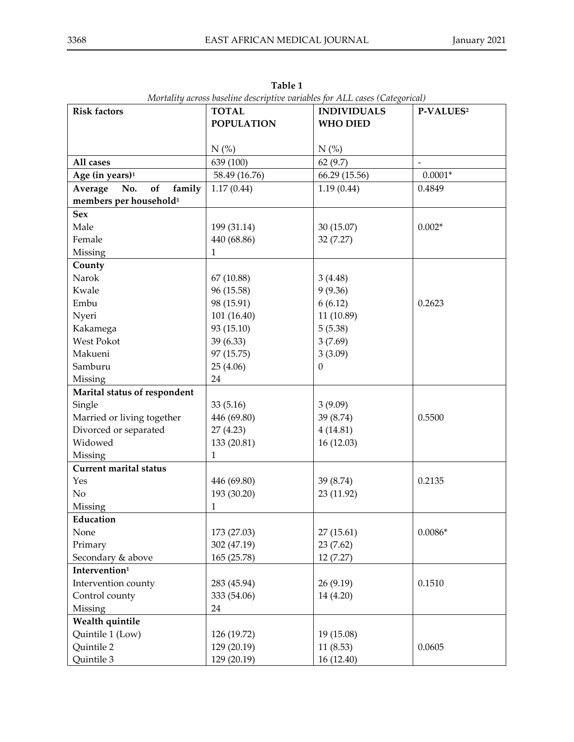| <b>Risk factors</b>                | <b>TOTAL</b>      | $\sim$ $\sim$ $\sim$ $\sim$ $\sim$ $\sim$ $\sim$ $\sim$<br><b>INDIVIDUALS</b> | P-VALUES <sup>2</sup> |
|------------------------------------|-------------------|-------------------------------------------------------------------------------|-----------------------|
|                                    | <b>POPULATION</b> | <b>WHO DIED</b>                                                               |                       |
|                                    |                   |                                                                               |                       |
|                                    | $N$ (%)           | $N$ (%)                                                                       |                       |
| All cases                          | 639 (100)         | 62(9.7)                                                                       |                       |
| Age (in years) <sup>1</sup>        | 58.49 (16.76)     | 66.29 (15.56)                                                                 | $0.0001^{\ast}$       |
| family<br>Average<br>of<br>No.     | 1.17(0.44)        | 1.19(0.44)                                                                    | 0.4849                |
| members per household <sup>1</sup> |                   |                                                                               |                       |
| <b>Sex</b>                         |                   |                                                                               |                       |
| Male                               | 199 (31.14)       | 30 (15.07)                                                                    | $0.002*$              |
| Female                             | 440 (68.86)       | 32 (7.27)                                                                     |                       |
| Missing                            | 1                 |                                                                               |                       |
| County                             |                   |                                                                               |                       |
| Narok                              | 67 (10.88)        | 3(4.48)                                                                       |                       |
| Kwale                              | 96 (15.58)        | 9(9.36)                                                                       |                       |
| Embu                               | 98 (15.91)        | 6(6.12)                                                                       | 0.2623                |
| Nyeri                              | 101 (16.40)       | 11 (10.89)                                                                    |                       |
| Kakamega                           | 93 (15.10)        | 5(5.38)                                                                       |                       |
| West Pokot                         | 39 (6.33)         | 3(7.69)                                                                       |                       |
| Makueni                            | 97 (15.75)        | 3(3.09)                                                                       |                       |
| Samburu                            | 25 (4.06)         | $\mathbf{0}$                                                                  |                       |
| Missing                            | 24                |                                                                               |                       |
| Marital status of respondent       |                   |                                                                               |                       |
| Single                             | 33(5.16)          | 3(9.09)                                                                       |                       |
| Married or living together         | 446 (69.80)       | 39 (8.74)                                                                     | 0.5500                |
| Divorced or separated              | 27(4.23)          | 4(14.81)                                                                      |                       |
| Widowed                            | 133 (20.81)       | 16(12.03)                                                                     |                       |
| Missing                            | $\mathbf{1}$      |                                                                               |                       |
| <b>Current marital status</b>      |                   |                                                                               |                       |
| Yes                                | 446 (69.80)       | 39 (8.74)                                                                     | 0.2135                |
| No                                 | 193 (30.20)       | 23 (11.92)                                                                    |                       |
| Missing                            | 1                 |                                                                               |                       |
| Education                          |                   |                                                                               |                       |
| None                               | 173 (27.03)       | 27(15.61)                                                                     | $0.0086*$             |
| Primary                            | 302 (47.19)       | 23 (7.62)                                                                     |                       |
| Secondary & above                  | 165 (25.78)       | 12 (7.27)                                                                     |                       |
| Intervention <sup>1</sup>          |                   |                                                                               |                       |
| Intervention county                | 283 (45.94)       | 26 (9.19)                                                                     | 0.1510                |
| Control county                     | 333 (54.06)       | 14 (4.20)                                                                     |                       |
| Missing                            | 24                |                                                                               |                       |
| Wealth quintile                    |                   |                                                                               |                       |
| Quintile 1 (Low)                   | 126 (19.72)       | 19 (15.08)                                                                    |                       |
| Quintile 2                         | 129 (20.19)       | 11(8.53)                                                                      | 0.0605                |
| Quintile 3                         | 129 (20.19)       | 16 (12.40)                                                                    |                       |

**Table 1** *Mortality across baseline descriptive variables for ALL cases (Categorical)*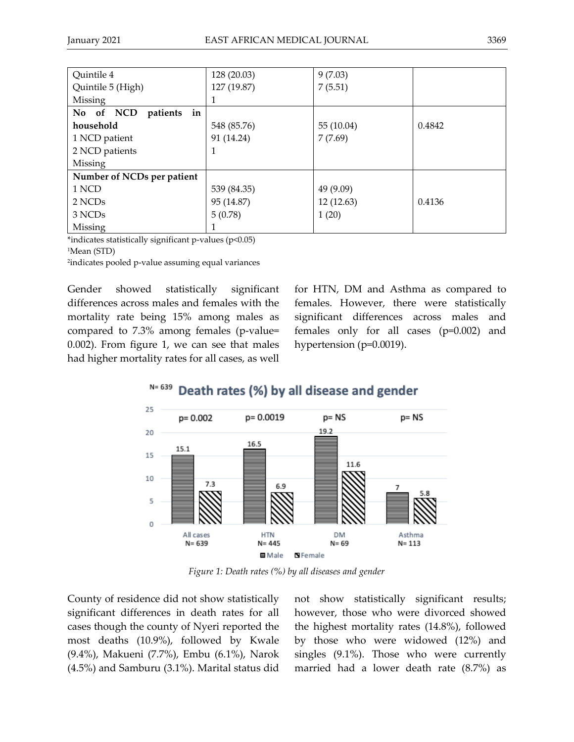| Quintile 4                  | 128 (20.03) | 9(7.03)    |        |
|-----------------------------|-------------|------------|--------|
| Quintile 5 (High)           | 127 (19.87) | 7(5.51)    |        |
| Missing                     |             |            |        |
| in<br>No of NCD<br>patients |             |            |        |
| household                   | 548 (85.76) | 55 (10.04) | 0.4842 |
| 1 NCD patient               | 91 (14.24)  | 7(7.69)    |        |
| 2 NCD patients              |             |            |        |
| Missing                     |             |            |        |
| Number of NCDs per patient  |             |            |        |
| 1 NCD                       | 539 (84.35) | 49 (9.09)  |        |
| 2 NCDs                      | 95 (14.87)  | 12 (12.63) | 0.4136 |
| 3 NCDs                      | 5(0.78)     | 1(20)      |        |
| Missing                     |             |            |        |

\*indicates statistically significant p-values (p<0.05)

<sup>1</sup>Mean (STD)

2 indicates pooled p-value assuming equal variances

Gender showed statistically significant differences across males and females with the mortality rate being 15% among males as compared to 7.3% among females (p-value= 0.002). From figure 1, we can see that males had higher mortality rates for all cases, as well

for HTN, DM and Asthma as compared to females. However, there were statistically significant differences across males and females only for all cases (p=0.002) and hypertension (p=0.0019).

 $N = 639$ Death rates (%) by all disease and gender



*Figure 1: Death rates (%) by all diseases and gender*

County of residence did not show statistically significant differences in death rates for all cases though the county of Nyeri reported the most deaths (10.9%), followed by Kwale (9.4%), Makueni (7.7%), Embu (6.1%), Narok (4.5%) and Samburu (3.1%). Marital status did not show statistically significant results; however, those who were divorced showed the highest mortality rates (14.8%), followed by those who were widowed (12%) and singles (9.1%). Those who were currently married had a lower death rate (8.7%) as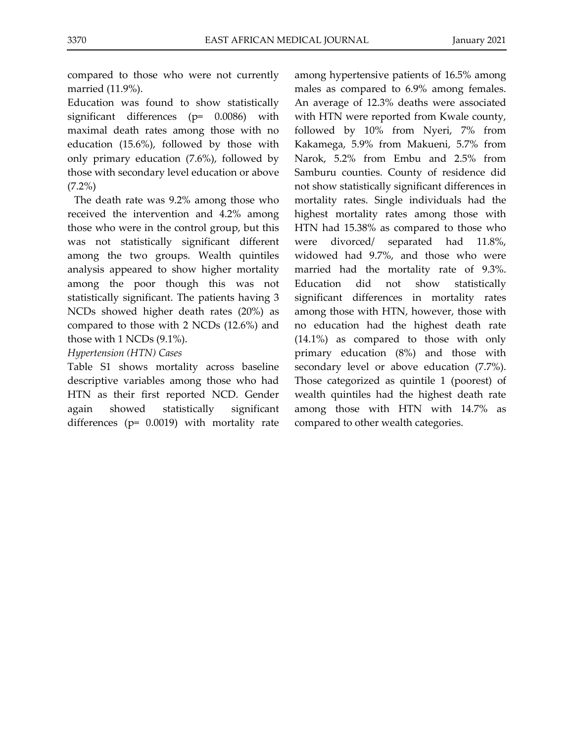compared to those who were not currently married (11.9%).

Education was found to show statistically significant differences (p= 0.0086) with maximal death rates among those with no education (15.6%), followed by those with only primary education (7.6%), followed by those with secondary level education or above  $(7.2\%)$ 

The death rate was 9.2% among those who received the intervention and 4.2% among those who were in the control group, but this was not statistically significant different among the two groups. Wealth quintiles analysis appeared to show higher mortality among the poor though this was not statistically significant. The patients having 3 NCDs showed higher death rates (20%) as compared to those with 2 NCDs (12.6%) and those with 1 NCDs (9.1%).

## *Hypertension (HTN) Cases*

Table S1 shows mortality across baseline descriptive variables among those who had HTN as their first reported NCD. Gender again showed statistically significant differences (p= 0.0019) with mortality rate

among hypertensive patients of 16.5% among males as compared to 6.9% among females. An average of 12.3% deaths were associated with HTN were reported from Kwale county, followed by 10% from Nyeri, 7% from Kakamega, 5.9% from Makueni, 5.7% from Narok, 5.2% from Embu and 2.5% from Samburu counties. County of residence did not show statistically significant differences in mortality rates. Single individuals had the highest mortality rates among those with HTN had 15.38% as compared to those who were divorced/ separated had 11.8%, widowed had 9.7%, and those who were married had the mortality rate of 9.3%. Education did not show statistically significant differences in mortality rates among those with HTN, however, those with no education had the highest death rate (14.1%) as compared to those with only primary education (8%) and those with secondary level or above education (7.7%). Those categorized as quintile 1 (poorest) of wealth quintiles had the highest death rate among those with HTN with 14.7% as compared to other wealth categories.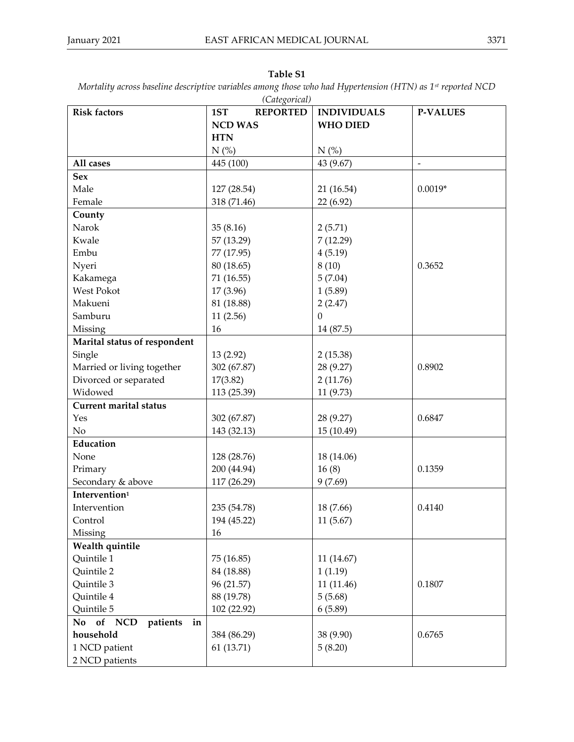| (Categorical)                  |                        |                    |                     |
|--------------------------------|------------------------|--------------------|---------------------|
| <b>Risk factors</b>            | <b>REPORTED</b><br>1ST | <b>INDIVIDUALS</b> | <b>P-VALUES</b>     |
|                                | <b>NCD WAS</b>         | <b>WHO DIED</b>    |                     |
|                                | <b>HTN</b>             |                    |                     |
|                                | $N$ (%)                | $N$ (%)            |                     |
| All cases                      | 445 (100)              | 43 (9.67)          | $\bar{\phantom{a}}$ |
| <b>Sex</b>                     |                        |                    |                     |
| Male                           | 127 (28.54)            | 21 (16.54)         | $0.0019*$           |
| Female                         | 318 (71.46)            | 22 (6.92)          |                     |
| County                         |                        |                    |                     |
| Narok                          | 35(8.16)               | 2(5.71)            |                     |
| Kwale                          | 57 (13.29)             | 7(12.29)           |                     |
| Embu                           | 77 (17.95)             | 4(5.19)            |                     |
| Nyeri                          | 80 (18.65)             | 8(10)              | 0.3652              |
| Kakamega                       | 71 (16.55)             | 5(7.04)            |                     |
| West Pokot                     | 17 (3.96)              | 1(5.89)            |                     |
| Makueni                        | 81 (18.88)             | 2(2.47)            |                     |
| Samburu                        | 11(2.56)               | $\Omega$           |                     |
| Missing                        | 16                     | 14 (87.5)          |                     |
| Marital status of respondent   |                        |                    |                     |
| Single                         | 13 (2.92)              | 2(15.38)           |                     |
| Married or living together     | 302 (67.87)            | 28 (9.27)          | 0.8902              |
| Divorced or separated          | 17(3.82)               | 2(11.76)           |                     |
| Widowed                        | 113 (25.39)            | 11 (9.73)          |                     |
| <b>Current marital status</b>  |                        |                    |                     |
| Yes                            | 302 (67.87)            | 28 (9.27)          | 0.6847              |
| No                             | 143 (32.13)            | 15 (10.49)         |                     |
| Education                      |                        |                    |                     |
| None                           | 128 (28.76)            | 18 (14.06)         |                     |
| Primary                        | 200 (44.94)            | 16(8)              | 0.1359              |
| Secondary & above              | 117 (26.29)            | 9(7.69)            |                     |
| Intervention <sup>1</sup>      |                        |                    |                     |
| Intervention                   | 235 (54.78)            | 18 (7.66)          | 0.4140              |
| Control                        | 194 (45.22)            | 11(5.67)           |                     |
| Missing                        | 16                     |                    |                     |
| Wealth quintile                |                        |                    |                     |
| Quintile 1                     | 75 (16.85)             | 11 (14.67)         |                     |
| Quintile 2                     | 84 (18.88)             | 1(1.19)            |                     |
| Quintile 3                     | 96 (21.57)             | 11 (11.46)         | 0.1807              |
| Quintile 4                     | 88 (19.78)             | 5(5.68)            |                     |
| Quintile 5                     | 102 (22.92)            | 6(5.89)            |                     |
| No<br>of NCD<br>patients<br>in |                        |                    |                     |
| household                      | 384 (86.29)            | 38 (9.90)          | 0.6765              |
| 1 NCD patient                  | 61 (13.71)             | 5(8.20)            |                     |
| 2 NCD patients                 |                        |                    |                     |

## **Table S1**

*Mortality across baseline descriptive variables among those who had Hypertension (HTN) as 1st reported NCD*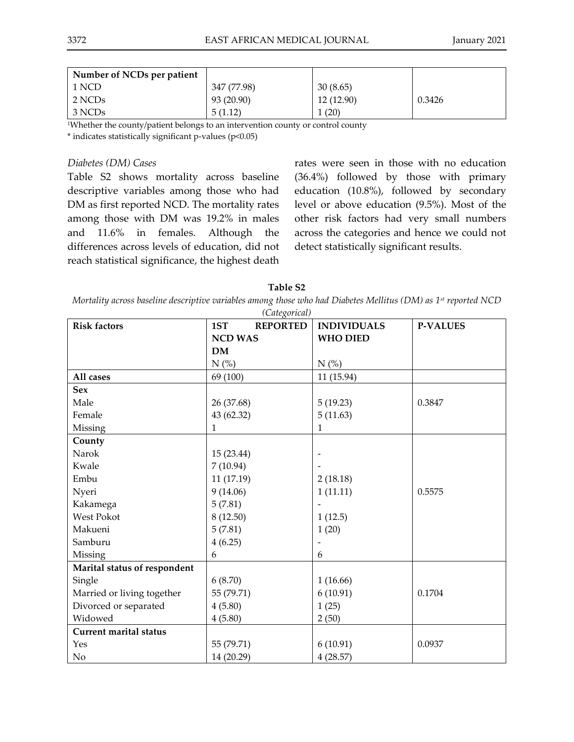| Number of NCDs per patient |             |            |        |
|----------------------------|-------------|------------|--------|
| 1 NCD                      | 347 (77.98) | 30(8.65)   |        |
| 2 NCDs                     | 93 (20.90)  | 12 (12.90) | 0.3426 |
| 3 NCDs                     | 5(1.12)     | (20)       |        |

<sup>1</sup>Whether the county/patient belongs to an intervention county or control county

\* indicates statistically significant p-values (p<0.05)

#### *Diabetes (DM) Cases*

Table S2 shows mortality across baseline descriptive variables among those who had DM as first reported NCD. The mortality rates among those with DM was 19.2% in males and 11.6% in females. Although the differences across levels of education, did not reach statistical significance, the highest death

rates were seen in those with no education (36.4%) followed by those with primary education (10.8%), followed by secondary level or above education (9.5%). Most of the other risk factors had very small numbers across the categories and hence we could not detect statistically significant results.

**Table S2**

*Mortality across baseline descriptive variables among those who had Diabetes Mellitus (DM) as 1st reported NCD* 

| <b>Risk factors</b>           | (Categorical)<br><b>REPORTED</b><br>1ST | <b>INDIVIDUALS</b> | <b>P-VALUES</b> |
|-------------------------------|-----------------------------------------|--------------------|-----------------|
|                               | <b>NCD WAS</b>                          | <b>WHO DIED</b>    |                 |
|                               | <b>DM</b>                               |                    |                 |
|                               | $N$ (%)                                 | $N$ (%)            |                 |
| All cases                     | 69 (100)                                | 11 (15.94)         |                 |
| <b>Sex</b>                    |                                         |                    |                 |
| Male                          | 26 (37.68)                              | 5(19.23)           | 0.3847          |
| Female                        | 43 (62.32)                              | 5(11.63)           |                 |
| Missing                       | 1                                       | 1                  |                 |
| County                        |                                         |                    |                 |
| Narok                         | 15 (23.44)                              |                    |                 |
| Kwale                         | 7(10.94)                                |                    |                 |
| Embu                          | 11 (17.19)                              | 2(18.18)           |                 |
| Nyeri                         | 9(14.06)                                | 1(11.11)           | 0.5575          |
| Kakamega                      | 5(7.81)                                 |                    |                 |
| <b>West Pokot</b>             | 8(12.50)                                | 1(12.5)            |                 |
| Makueni                       | 5(7.81)                                 | 1(20)              |                 |
| Samburu                       | 4(6.25)                                 |                    |                 |
| Missing                       | 6                                       | 6                  |                 |
| Marital status of respondent  |                                         |                    |                 |
| Single                        | 6(8.70)                                 | 1(16.66)           |                 |
| Married or living together    | 55 (79.71)                              | 6(10.91)           | 0.1704          |
| Divorced or separated         | 4(5.80)                                 | 1(25)              |                 |
| Widowed                       | 4(5.80)                                 | 2(50)              |                 |
| <b>Current marital status</b> |                                         |                    |                 |
| Yes                           | 55 (79.71)                              | 6(10.91)           | 0.0937          |
| No                            | 14 (20.29)                              | 4(28.57)           |                 |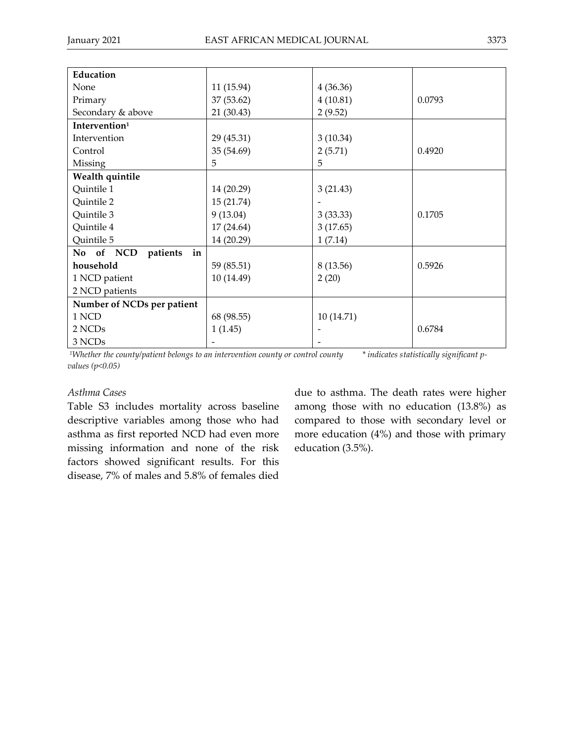| Education                  |            |           |        |
|----------------------------|------------|-----------|--------|
| None                       | 11 (15.94) | 4(36.36)  |        |
| Primary                    | 37 (53.62) | 4(10.81)  | 0.0793 |
| Secondary & above          | 21 (30.43) | 2(9.52)   |        |
| Intervention <sup>1</sup>  |            |           |        |
| Intervention               | 29 (45.31) | 3(10.34)  |        |
| Control                    | 35 (54.69) | 2(5.71)   | 0.4920 |
| Missing                    | 5          | 5         |        |
| Wealth quintile            |            |           |        |
| Quintile 1                 | 14 (20.29) | 3(21.43)  |        |
| Quintile 2                 | 15 (21.74) |           |        |
| Quintile 3                 | 9(13.04)   | 3(33.33)  | 0.1705 |
| Quintile 4                 | 17 (24.64) | 3(17.65)  |        |
| Quintile 5                 | 14 (20.29) | 1(7.14)   |        |
| No of NCD patients<br>in   |            |           |        |
| household                  | 59 (85.51) | 8(13.56)  | 0.5926 |
| 1 NCD patient              | 10 (14.49) | 2(20)     |        |
| 2 NCD patients             |            |           |        |
| Number of NCDs per patient |            |           |        |
| 1 NCD                      | 68 (98.55) | 10(14.71) |        |
| 2 NCDs                     | 1(1.45)    |           | 0.6784 |
| 3 NCDs                     |            |           |        |
|                            |            |           |        |

<sup>1</sup>*Whether the county/patient belongs to an intervention county or control county* \* *indicates statistically significant p values (p<0.05)*

## *Asthma Cases*

Table S3 includes mortality across baseline descriptive variables among those who had asthma as first reported NCD had even more missing information and none of the risk factors showed significant results. For this disease, 7% of males and 5.8% of females died due to asthma. The death rates were higher among those with no education (13.8%) as compared to those with secondary level or more education (4%) and those with primary education (3.5%).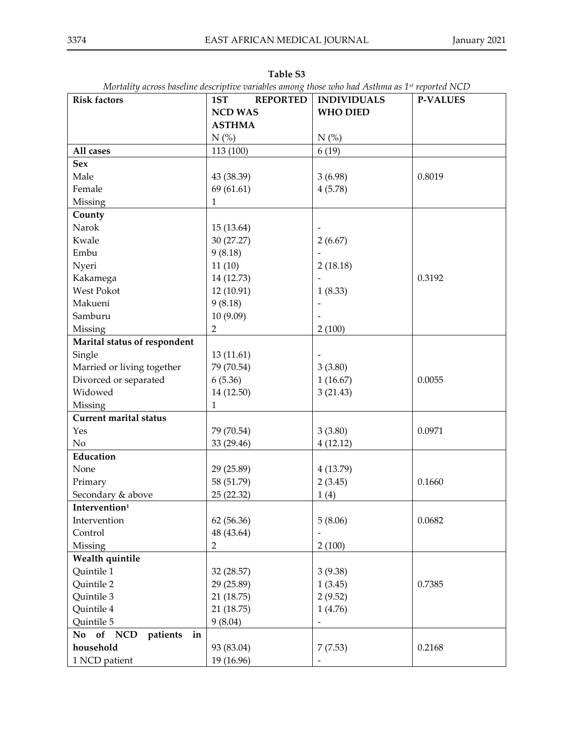| <b>Risk factors</b>           | <b>REPORTED</b><br>1ST | <b>INDIVIDUALS</b> | <b>P-VALUES</b> |
|-------------------------------|------------------------|--------------------|-----------------|
|                               | <b>NCD WAS</b>         | <b>WHO DIED</b>    |                 |
|                               | <b>ASTHMA</b>          |                    |                 |
|                               | N(%)                   | $N$ (%)            |                 |
| All cases                     | 113 (100)              | 6(19)              |                 |
| <b>Sex</b>                    |                        |                    |                 |
| Male                          | 43 (38.39)             | 3(6.98)            | 0.8019          |
| Female                        | 69 (61.61)             | 4(5.78)            |                 |
| Missing                       | $\mathbf{1}$           |                    |                 |
| County                        |                        |                    |                 |
| Narok                         | 15 (13.64)             |                    |                 |
| Kwale                         | 30 (27.27)             | 2(6.67)            |                 |
| Embu                          | 9(8.18)                |                    |                 |
| Nyeri                         | 11(10)                 | 2(18.18)           |                 |
| Kakamega                      | 14 (12.73)             |                    | 0.3192          |
| West Pokot                    | 12 (10.91)             | 1(8.33)            |                 |
| Makueni                       | 9(8.18)                |                    |                 |
| Samburu                       | 10 (9.09)              |                    |                 |
| Missing                       | $\overline{2}$         | 2(100)             |                 |
| Marital status of respondent  |                        |                    |                 |
| Single                        | 13 (11.61)             |                    |                 |
| Married or living together    | 79 (70.54)             | 3(3.80)            |                 |
| Divorced or separated         | 6(5.36)                | 1(16.67)           | 0.0055          |
| Widowed                       | 14 (12.50)             | 3(21.43)           |                 |
| Missing                       | 1                      |                    |                 |
| <b>Current marital status</b> |                        |                    |                 |
| Yes                           | 79 (70.54)             | 3(3.80)            | 0.0971          |
| No                            | 33 (29.46)             | 4(12.12)           |                 |
| Education                     |                        |                    |                 |
| None                          | 29 (25.89)             | 4(13.79)           |                 |
| Primary                       | 58 (51.79)             | 2(3.45)            | 0.1660          |
| Secondary & above             | 25 (22.32)             | 1(4)               |                 |
| Intervention <sup>1</sup>     |                        |                    |                 |
| Intervention                  | 62 (56.36)             | 5(8.06)            | 0.0682          |
| Control                       | 48 (43.64)             |                    |                 |
| Missing                       | $\overline{2}$         | 2(100)             |                 |
| Wealth quintile               |                        |                    |                 |
| Quintile 1                    | 32 (28.57)             | 3(9.38)            |                 |
| Quintile 2                    | 29 (25.89)             | 1(3.45)            | 0.7385          |
| Quintile 3                    | 21 (18.75)             | 2(9.52)            |                 |
| Quintile 4                    | 21 (18.75)             | 1(4.76)            |                 |
| Quintile 5                    | 9(8.04)                |                    |                 |
| No of NCD<br>patients<br>in   |                        |                    |                 |
| household                     | 93 (83.04)             | 7(7.53)            | 0.2168          |
| 1 NCD patient                 | 19 (16.96)             |                    |                 |

**Table S3** *Mortality across baseline descriptive variables among those who had Asthma as 1st reported NCD*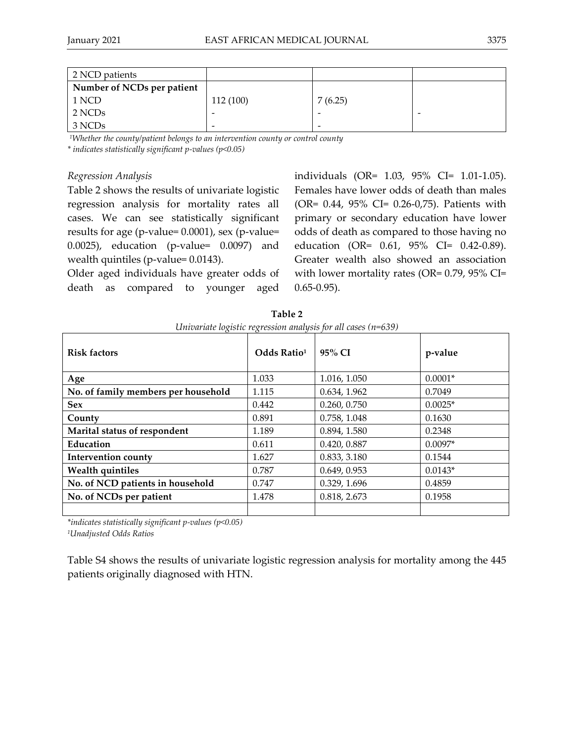| 2 NCD patients             |                          |         |  |
|----------------------------|--------------------------|---------|--|
| Number of NCDs per patient |                          |         |  |
| 1 NCD                      | 112 (100)                | 7(6.25) |  |
| 2 NCDs                     |                          |         |  |
| 3 NCDs                     | $\overline{\phantom{0}}$ | -       |  |

*<sup>1</sup>Whether the county/patient belongs to an intervention county or control county*

*\* indicates statistically significant p-values (p<0.05)*

## *Regression Analysis*

Table 2 shows the results of univariate logistic regression analysis for mortality rates all cases. We can see statistically significant results for age (p-value= 0.0001), sex (p-value= 0.0025), education (p-value= 0.0097) and wealth quintiles (p-value= 0.0143).

Older aged individuals have greater odds of death as compared to younger aged individuals (OR= 1.03, 95% CI= 1.01-1.05). Females have lower odds of death than males (OR= 0.44, 95% CI= 0.26-0,75). Patients with primary or secondary education have lower odds of death as compared to those having no education (OR= 0.61, 95% CI= 0.42-0.89). Greater wealth also showed an association with lower mortality rates (OR= 0.79, 95% CI= 0.65-0.95).

|                                     |                         | $\epsilon$ . The means $\epsilon$ is the second management in the choice $\mu$ , the second |           |
|-------------------------------------|-------------------------|---------------------------------------------------------------------------------------------|-----------|
| <b>Risk factors</b>                 | Odds Ratio <sup>1</sup> | $95\%$ CI                                                                                   | p-value   |
| Age                                 | 1.033                   | 1.016, 1.050                                                                                | $0.0001*$ |
| No. of family members per household | 1.115                   | 0.634, 1.962                                                                                | 0.7049    |
| <b>Sex</b>                          | 0.442                   | 0.260, 0.750                                                                                | $0.0025*$ |
| County                              | 0.891                   | 0.758, 1.048                                                                                | 0.1630    |
| Marital status of respondent        | 1.189                   | 0.894, 1.580                                                                                | 0.2348    |
| Education                           | 0.611                   | 0.420, 0.887                                                                                | $0.0097*$ |
| <b>Intervention county</b>          | 1.627                   | 0.833, 3.180                                                                                | 0.1544    |
| <b>Wealth quintiles</b>             | 0.787                   | 0.649, 0.953                                                                                | $0.0143*$ |
| No. of NCD patients in household    | 0.747                   | 0.329, 1.696                                                                                | 0.4859    |
| No. of NCDs per patient             | 1.478                   | 0.818, 2.673                                                                                | 0.1958    |
|                                     |                         |                                                                                             |           |

**Table 2** *Univariate logistic regression analysis for all cases (n=639)*

*\*indicates statistically significant p-values (p<0.05)* 

*<sup>1</sup>Unadjusted Odds Ratios*

Table S4 shows the results of univariate logistic regression analysis for mortality among the 445 patients originally diagnosed with HTN.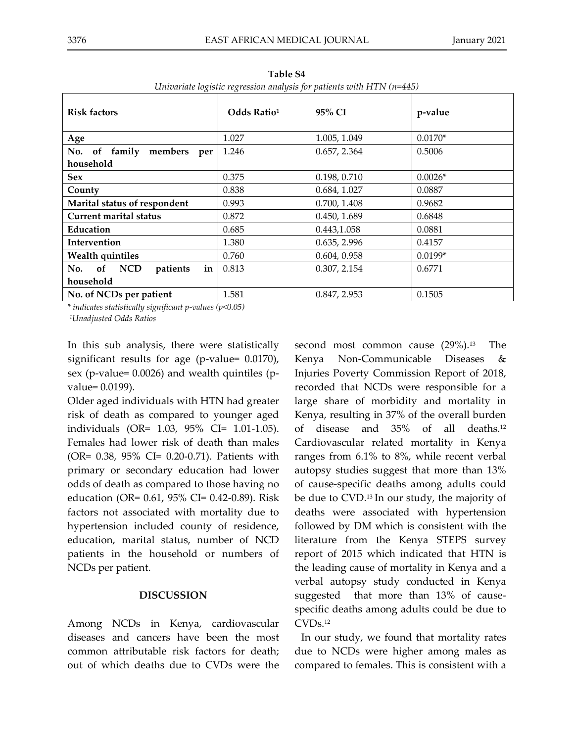| CHIVATING IOXISHG TOXICSSION MIMIQSIS JOI PHILOISS WITH ITITY (N TIS) |                         |              |           |
|-----------------------------------------------------------------------|-------------------------|--------------|-----------|
| <b>Risk factors</b>                                                   | Odds Ratio <sup>1</sup> | 95% CI       | p-value   |
| Age                                                                   | 1.027                   | 1.005, 1.049 | $0.0170*$ |
| of family<br>members per<br>No.<br>household                          | 1.246                   | 0.657, 2.364 | 0.5006    |
| <b>Sex</b>                                                            | 0.375                   | 0.198, 0.710 | $0.0026*$ |
| County                                                                | 0.838                   | 0.684, 1.027 | 0.0887    |
| Marital status of respondent                                          | 0.993                   | 0.700, 1.408 | 0.9682    |
| <b>Current marital status</b>                                         | 0.872                   | 0.450, 1.689 | 0.6848    |
| Education                                                             | 0.685                   | 0.443,1.058  | 0.0881    |
| Intervention                                                          | 1.380                   | 0.635, 2.996 | 0.4157    |
| <b>Wealth quintiles</b>                                               | 0.760                   | 0.604, 0.958 | $0.0199*$ |
| in<br>of NCD<br>patients<br>No.                                       | 0.813                   | 0.307, 2.154 | 0.6771    |
| household                                                             |                         |              |           |
| No. of NCDs per patient                                               | 1.581                   | 0.847, 2.953 | 0.1505    |

**Table S4** *Univariate logistic regression analysis for patients with HTN (n=445)*

*\* indicates statistically significant p-values (p<0.05)*

*<sup>1</sup>Unadjusted Odds Ratios*

In this sub analysis, there were statistically significant results for age (p-value= 0.0170), sex (p-value= 0.0026) and wealth quintiles (pvalue= 0.0199).

Older aged individuals with HTN had greater risk of death as compared to younger aged individuals (OR= 1.03, 95% CI= 1.01-1.05). Females had lower risk of death than males (OR= 0.38, 95% CI= 0.20-0.71). Patients with primary or secondary education had lower odds of death as compared to those having no education (OR= 0.61, 95% CI= 0.42-0.89). Risk factors not associated with mortality due to hypertension included county of residence, education, marital status, number of NCD patients in the household or numbers of NCDs per patient.

## **DISCUSSION**

Among NCDs in Kenya, cardiovascular diseases and cancers have been the most common attributable risk factors for death; out of which deaths due to CVDs were the second most common cause (29%).<sup>13</sup> The Kenya Non-Communicable Diseases & Injuries Poverty Commission Report of 2018, recorded that NCDs were responsible for a large share of morbidity and mortality in Kenya, resulting in 37% of the overall burden of disease and 35% of all deaths. 12 Cardiovascular related mortality in Kenya ranges from 6.1% to 8%, while recent verbal autopsy studies suggest that more than 13% of cause-specific deaths among adults could be due to CVD.<sup>13</sup> In our study, the majority of deaths were associated with hypertension followed by DM which is consistent with the literature from the Kenya STEPS survey report of 2015 which indicated that HTN is the leading cause of mortality in Kenya and a verbal autopsy study conducted in Kenya suggested that more than 13% of causespecific deaths among adults could be due to CVDs. 12

In our study, we found that mortality rates due to NCDs were higher among males as compared to females. This is consistent with a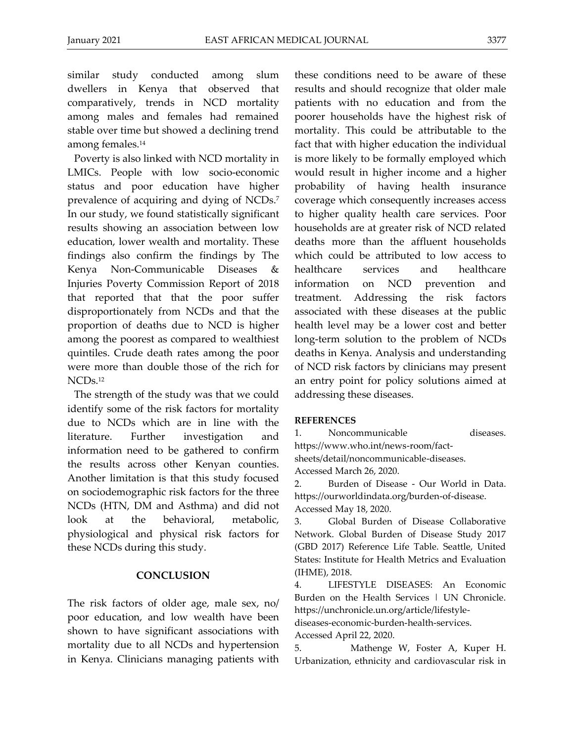similar study conducted among slum dwellers in Kenya that observed that comparatively, trends in NCD mortality among males and females had remained stable over time but showed a declining trend among females. 14

Poverty is also linked with NCD mortality in LMICs. People with low socio-economic status and poor education have higher prevalence of acquiring and dying of NCDs. 7 In our study, we found statistically significant results showing an association between low education, lower wealth and mortality. These findings also confirm the findings by The Kenya Non-Communicable Diseases & Injuries Poverty Commission Report of 2018 that reported that that the poor suffer disproportionately from NCDs and that the proportion of deaths due to NCD is higher among the poorest as compared to wealthiest quintiles. Crude death rates among the poor were more than double those of the rich for NCDs.<sup>12</sup>

The strength of the study was that we could identify some of the risk factors for mortality due to NCDs which are in line with the literature. Further investigation and information need to be gathered to confirm the results across other Kenyan counties. Another limitation is that this study focused on sociodemographic risk factors for the three NCDs (HTN, DM and Asthma) and did not look at the behavioral, metabolic, physiological and physical risk factors for these NCDs during this study.

## **CONCLUSION**

The risk factors of older age, male sex, no/ poor education, and low wealth have been shown to have significant associations with mortality due to all NCDs and hypertension in Kenya. Clinicians managing patients with these conditions need to be aware of these results and should recognize that older male patients with no education and from the poorer households have the highest risk of mortality. This could be attributable to the fact that with higher education the individual is more likely to be formally employed which would result in higher income and a higher probability of having health insurance coverage which consequently increases access to higher quality health care services. Poor households are at greater risk of NCD related deaths more than the affluent households which could be attributed to low access to healthcare services and healthcare information on NCD prevention and treatment. Addressing the risk factors associated with these diseases at the public health level may be a lower cost and better long-term solution to the problem of NCDs deaths in Kenya. Analysis and understanding of NCD risk factors by clinicians may present an entry point for policy solutions aimed at addressing these diseases.

### **REFERENCES**

1. Noncommunicable diseases.

https://www.who.int/news-room/fact-

sheets/detail/noncommunicable-diseases.

Accessed March 26, 2020.

2. Burden of Disease - Our World in Data. https://ourworldindata.org/burden-of-disease. Accessed May 18, 2020.

3. Global Burden of Disease Collaborative Network. Global Burden of Disease Study 2017 (GBD 2017) Reference Life Table. Seattle, United States: Institute for Health Metrics and Evaluation (IHME), 2018.

4. LIFESTYLE DISEASES: An Economic Burden on the Health Services | UN Chronicle. https://unchronicle.un.org/article/lifestyle-

diseases-economic-burden-health-services.

Accessed April 22, 2020.

5. Mathenge W, Foster A, Kuper H. Urbanization, ethnicity and cardiovascular risk in